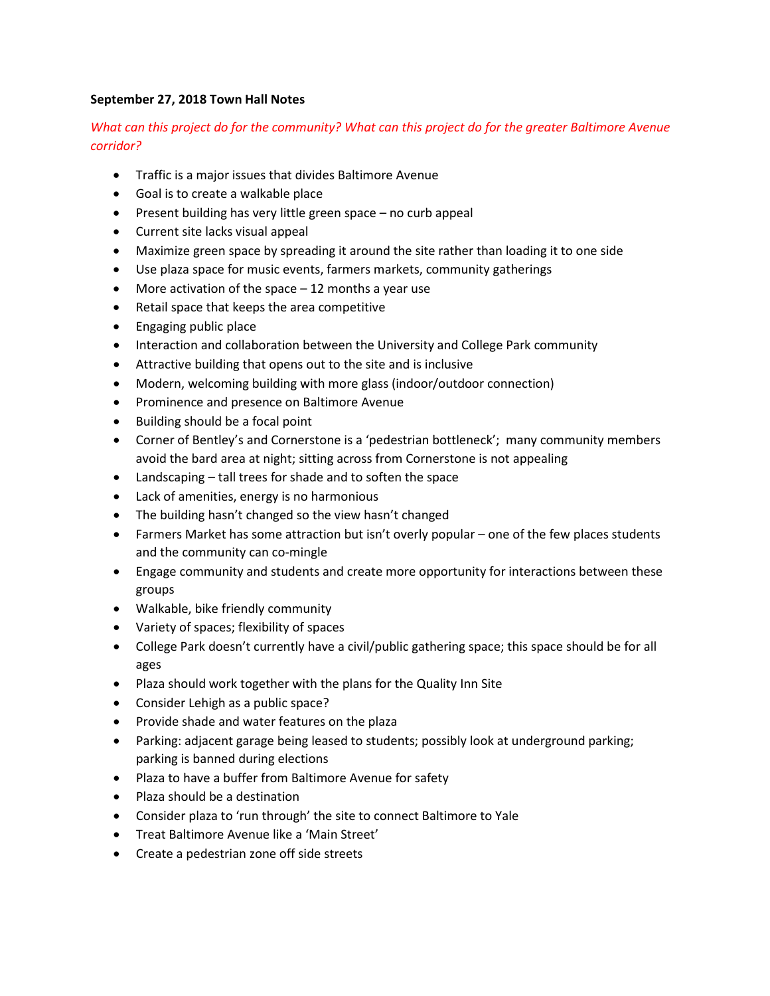## **September 27, 2018 Town Hall Notes**

## *What can this project do for the community? What can this project do for the greater Baltimore Avenue corridor?*

- Traffic is a major issues that divides Baltimore Avenue
- Goal is to create a walkable place
- Present building has very little green space no curb appeal
- Current site lacks visual appeal
- Maximize green space by spreading it around the site rather than loading it to one side
- Use plaza space for music events, farmers markets, community gatherings
- More activation of the space 12 months a year use
- Retail space that keeps the area competitive
- Engaging public place
- Interaction and collaboration between the University and College Park community
- Attractive building that opens out to the site and is inclusive
- Modern, welcoming building with more glass (indoor/outdoor connection)
- Prominence and presence on Baltimore Avenue
- Building should be a focal point
- Corner of Bentley's and Cornerstone is a 'pedestrian bottleneck'; many community members avoid the bard area at night; sitting across from Cornerstone is not appealing
- Landscaping tall trees for shade and to soften the space
- Lack of amenities, energy is no harmonious
- The building hasn't changed so the view hasn't changed
- Farmers Market has some attraction but isn't overly popular one of the few places students and the community can co-mingle
- Engage community and students and create more opportunity for interactions between these groups
- Walkable, bike friendly community
- Variety of spaces; flexibility of spaces
- College Park doesn't currently have a civil/public gathering space; this space should be for all ages
- Plaza should work together with the plans for the Quality Inn Site
- Consider Lehigh as a public space?
- Provide shade and water features on the plaza
- Parking: adjacent garage being leased to students; possibly look at underground parking; parking is banned during elections
- Plaza to have a buffer from Baltimore Avenue for safety
- Plaza should be a destination
- Consider plaza to 'run through' the site to connect Baltimore to Yale
- Treat Baltimore Avenue like a 'Main Street'
- Create a pedestrian zone off side streets